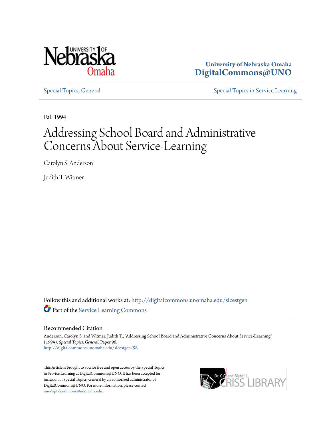

**University of Nebraska Omaha [DigitalCommons@UNO](http://digitalcommons.unomaha.edu?utm_source=digitalcommons.unomaha.edu%2Fslcestgen%2F96&utm_medium=PDF&utm_campaign=PDFCoverPages)**

[Special Topics, General](http://digitalcommons.unomaha.edu/slcestgen?utm_source=digitalcommons.unomaha.edu%2Fslcestgen%2F96&utm_medium=PDF&utm_campaign=PDFCoverPages) [Special Topics in Service Learning](http://digitalcommons.unomaha.edu/slcespecialtopics?utm_source=digitalcommons.unomaha.edu%2Fslcestgen%2F96&utm_medium=PDF&utm_campaign=PDFCoverPages)

Fall 1994

# Addressing School Board and Administrative Concerns About Service-Learning

Carolyn S. Anderson

Judith T. Witmer

Follow this and additional works at: [http://digitalcommons.unomaha.edu/slcestgen](http://digitalcommons.unomaha.edu/slcestgen?utm_source=digitalcommons.unomaha.edu%2Fslcestgen%2F96&utm_medium=PDF&utm_campaign=PDFCoverPages) Part of the [Service Learning Commons](http://network.bepress.com/hgg/discipline/1024?utm_source=digitalcommons.unomaha.edu%2Fslcestgen%2F96&utm_medium=PDF&utm_campaign=PDFCoverPages)

#### Recommended Citation

Anderson, Carolyn S. and Witmer, Judith T., "Addressing School Board and Administrative Concerns About Service-Learning" (1994). *Special Topics, General.* Paper 96. [http://digitalcommons.unomaha.edu/slcestgen/96](http://digitalcommons.unomaha.edu/slcestgen/96?utm_source=digitalcommons.unomaha.edu%2Fslcestgen%2F96&utm_medium=PDF&utm_campaign=PDFCoverPages)

This Article is brought to you for free and open access by the Special Topics in Service Learning at DigitalCommons@UNO. It has been accepted for inclusion in Special Topics, General by an authorized administrator of DigitalCommons@UNO. For more information, please contact [unodigitalcommons@unomaha.edu](mailto:unodigitalcommons@unomaha.edu).

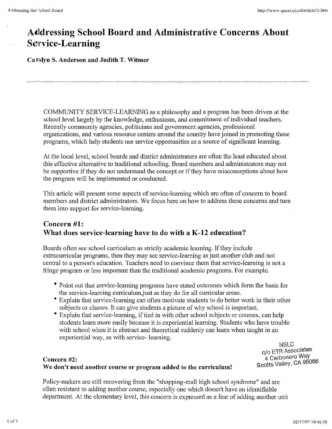## **Alddressing School Board and Administrative Concerns About Service-Learning**

**Carolyn S. Anderson and Judith T. Witmer** 

COMMUNITY SERVICE-LEARNING as a philosophy and a program has been driven at the school level largely by the knowledge, enthusiasm, and commitment of individual teachers. Recently community agencies, politicians and government agencies, professional organizations, and various resource centers around the country have joined in promoting these programs, which help students use service opportunities as a source of significant learning.

At the local level, school boards and district administrators are often the least educated about this effective alternative to traditional schooling. Board members and administrators may not be supportive if they do not understand the concept or if they have misconceptions about how the program will be implemented or conducted.

This article will present some aspects of service-learning which are often of concern to board members and district administrators. We focus here on how to address these concerns and turn them into support for service-learning.

#### **Concern #1: What does service-learning have to do with a K-12 education?**

Boards often see school curriculum as strictly academic learning. If they include extracurricular programs, then they may see service-learning as just another club and not central to a person's education. Teachers need to convince them that service-learning is not a fringe program or less important than the traditional academic programs. For example.

- Point out that service-learning programs have stated outcomes which form the basis for the service-learning curriculumjust as they do for all curricular areas.
- Explain that service-learning can often motivate students to do better work in their other subjects or classes. It can give students a picture of why school is important.
- Explain that service-learning, if tied in with other school subjects or courses, can help students learn more easily because it is experiential learning. Students who have trouble with school when it is abstract and theoretical suddenly can learn when taught in an experiential way, as with service- learning.

NSLC c/o ETR Associates 4 carbonero Way

#### Example of the team of the team of the team of the team of the team of team of team of team of team of team of team of team of team of the team of team of team of the team of team of team of team of team of team of team of **We don't need another course or program added to the curriculum!**

Policy-makers are still recovering from the "shopping-mall high school syndrome" and are often resistant to adding another course, especially one which doesn't have an identifiable department. At the elementary level, this concern is expressed as a fear of adding another unit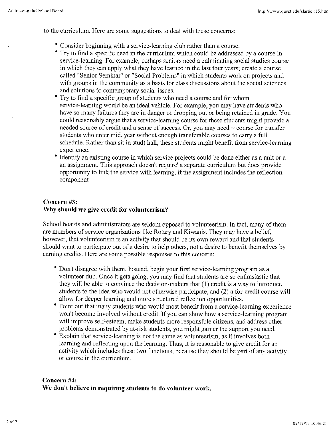to the curriculum. Here are some suggestions to deal with these concerns:

- Consider beginning with a service-learning club rather than a course.
- Try to find a specific need in the curriculum which could be addressed by a course in service-learning. For example, perhaps seniors need a culminating social studies course in which they can apply what they have learned in the last four years; create a course called "Senior Seminar" or "Social Problems" in which students work on projects and with groups in the community as a basis for class discussions about the social sciences and solutions to contemporary social issues.
- Try to find a specific group of students who need a course and for whom service-learning would be an ideal vehicle. For example, you may have students who have so many failures they are in danger of dropping out or being retained in grade. You could reasonably argue that a service-learning course for these students might provide a needed source of credit and a sense of success. Or, you may need  $\sim$  course for transfer students who enter mid. year without enough transferable courses to carry a full schedule. Rather than sit in stud) hall, these students might benefit from service-leaming experience.
- Identify an existing course in which service projects could be done either as a unit or a an assignment. This approach doesn't require' a separate curriculum but does provide opportunity to link the service with learning, if the assignment includes the reflection component

#### Concern #3: Why should we give credit for volunteerism?

School boards and administrators are seldom opposed to volunteerism. In fact, many of them are members of service organizations like Rotary and Kiwanis. They may have a belief, however, that volunteerism is an activity that should be its own reward and that students should want to participate out of a desire to help others, not a desire to benefit themselves by earning credits. Here are some possible responses to this concern:

- Don't disagree with them. Instead, begin your first service-learning program as a volunteer dub. Once it gets going, you may find that students are so enthusiastic that they will be able to convince the decision-makers that (1) credit is a way to introduce students to the idea who would not otherwise participate, and (2) a for-credit course will allow for deeper learning and more structured reflection opportunities.
- Point out that many students who would most benefit from a service-learning experience won't become involved without credit. If you can show how a service-learning program will improve self-esteem, make students more responsible citizens, and address other problems demonstrated by at-risk students, you might garner the support you need.
- Explain that service-learning is not the same as volunteerism, as it involves both learning and reflecting upon the learning. Thus, it is reasonable to give credit for an activity which includes these two functions, because they should be part of any activity or course in the curriculum.

#### Concern #4: We don't believe in requiring students to do volunteer work.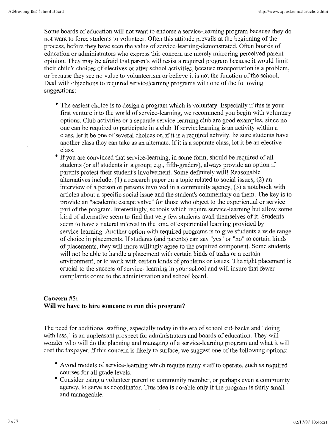Some boards of education will not want to endorse a service-learning program because they do not want to force students to volunteer. Often this attitude prevails at the beginning of the process, before they have seen the value of service-learning-demonstrated. Often boards of education or administrators who express this concern are merely mirroring perceived parent opinion. They may be afraid that parents will resist a required program because it would limit their child's choices of electives or after-school activities, because transportation is a problem, or because they see no value to volunteerism or believe it is not the function of the school. Deal with objections to required service learning programs with one of the following suggestions:

- The easiest choice is to design a program which is voluntary. Especially if this is your first venture into the world of service-learning, we recommend you begin with voluntary options. Club activities or a separate service-learning club are good examples, since no one can be required to participate in a club. If servicelearning is an activity within a class, let it be one of several choices or, if it is a required activity, be sure students have another class they can take as an alternate. If it is a separate class, let it be an elective class.
- If you are convinced that service-learning, in some form, should be required of all students (or all students in a group; e.g., fifth-graders), always provide an option if parents protest their student's involvement. Some definitely will! Reasonable alternatives include: (I) a research paper on a topic related to social issues, (2) an interview of a person or persons involved in a community agency, (3) a notebook with articles about a specific social issue and the student's commentary on them. The key is to provide an "academic escape valve" for those who object to the experiential or service part of the program. Interestingly, schools which require service-learning but allow some kind of alternative seem to find that very few students avail themselves of it. Students seem to have a natural interest in the kind of experiential learning provided by service-learning. Another option with required programs is to give students a wide range of choice in placements. If students (and parents) can say "yes" or "no" to certain kinds of placements, they will more willingly agree to the required component. Some students will not be able to handle a placement with certain kinds of tasks or a certain environment, or to work with certain kinds of problems or issues. The right placement is crucial to the success of service- learning in your school and will insure that fewer complaints come to the administration and school board.

#### **Concern #5: Will we have to hire someone to run this program?**

The need for additional staffing, especially today in the era of school cut-backs and "doing with less," is an unpleasant prospect for administrators and boards of education. They will wonder who will do the planning and managing of a service-learning program and what it will cost the taxpayer. If this concern is likely to surface, we suggest one of the following options:

- Avoid models of service-learning which require many staff to operate, such as required courses for all grade levels.
- Consider using a volunteer parent or community member, or perhaps even a community agency, to serve as coordinator. This idea is do-able only if the program is fairly small and manageable.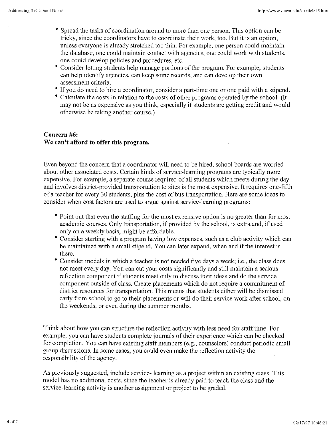- Spread the tasks of coordination around to more than one person. This option can be tricky, since the coordinators have to coordinate their work, too. But it is an option, unless everyone is already stretched too thin. For example, one person could maintain the database, one could maintain contact with agencies, one could work with students, one could develop policies and procedures, etc.
- **<sup>o</sup>**Consider letting students help manage portions of the program. For example, students can help identifY agencies, can keep some records, and can develop their own assessment criteria.
- If you do need to hire a coordinator, consider a part-time one or one paid with a stipend.
- **<sup>o</sup>**Calculate the costs in relation to the costs of other programs operated by the school. (It may not be as expensive as you think, especially if students are getting credit and would otherwise be taking another course.)

#### **Concern #6: We can't afford to offer this program.**

Even beyond the concern that a coordinator will need to be hired, school boards are worried about other associated costs. Certain kinds of service-learning programs are typically more expensive. For example, a separate course required of all students which meets during the day and involves district-provided transportation to sites is the most expensive. It requires one-fifth of a teacher for every 30 students, plus the cost of bus transportation. Here are some ideas to consider when cost factors are used to argue against service-learning programs:

- Point out that even the staffing for the most expensive option is no greater than for most academic courses. Only transportation, if provided by the school, is extra and, if used only on a weekly basis, might be affordable.
- **<sup>o</sup>**Consider starting with a program having low expenses, such as a club activity which can be maintained with a small stipend. You can later expand, when and if the interest is there.
- Consider models in which a teacher is not needed five days a week; i.e., the class does not meet every day. You can cut your costs significantly and still maintain a serious reflection component if students meet only to discuss their ideas and do the service component outside of class. Create placements which do not require a commitment of district resources for transportation. This means that students either will be dismissed early from school to go to their placements or will do their service work after school, on the weekends, or even during the summer months.

Think about how you can structure the reflection activity with less need for staff time. For example, you can have students complete journals of their experience which can be checked for completion. You can have existing staff members (e.g., counselors) conduct periodic small group discussions. In some cases, you could even make the reflection activity the responsibility of the agency.

As previously suggested, include service- leaming as a project within an existing class. This model has no additional costs, since the teacher is already paid to teach the class and the service-learning activity is another assignment or project to be graded.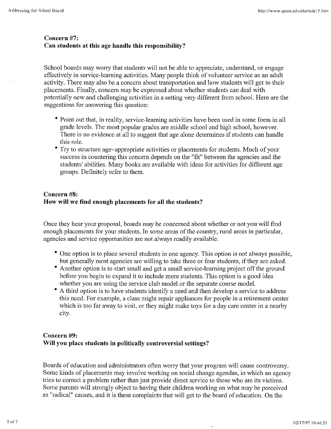#### Concern #7: Can students at this age handle this responsibility?

School boards may worry that students will not be able to appreciate, understand, or engage effectively in service-learning activities. Many people think of volunteer service as an adult activity. There may also be a concern about transportation and how students will get to their placements. Finally, concern may be expressed about whether students can deal with potentially new and challenging activities in a setting very different from school. Here are the suggestions for answering this question:

- Point out that, in reality, service-learning activities have been used in some form in all grade levels. The most popular grades are middle school and high school, however. There is no evidence at all to suggest that age alone determines if students can handle this role.
- Try to structure age-appropriate activities or placements for students. Much of your success in countering this concern depends on the "fit" between the agencies and the students' abilities. Many books are available with ideas for activities for different age groups. Definitely refer to them.

#### Concern #8: How will we find enough placements for all the students?

Once they hear your proposal, boards may be concerned about whether or not you will find enough placements for your students. In some areas of the country, rural areas in particular, agencies and service opportunities are not always readily available.

- One option is to place several students in one agency. This option is not always possible, but generally most agencies are willing to take three or four students, if they are asked.
- Another option is to start small and get a small service-learning project off the ground before you begin to expand it to include more students. This option is a good idea whether you are using the service club model or the separate course model.
- A third option is to have students identify a need and then develop a service to address this need. For example, a class might repair appliances for people in a retirement center which is too far away to visit, or they might make toys for a day care center in a nearby city.

#### Concern #9: Will you place students in politically controversial settings?

Boards of education and administrators often worry that your program will cause controversy. Some kinds of placements may involve working on social change agendas, in which an agency tries to correct a problem rather than just provide direct service to those who are its victims. Some parents will strongly object to having their children working on what may be perceived as "radical" causes, and it is these complaints that will get to the board of education. On the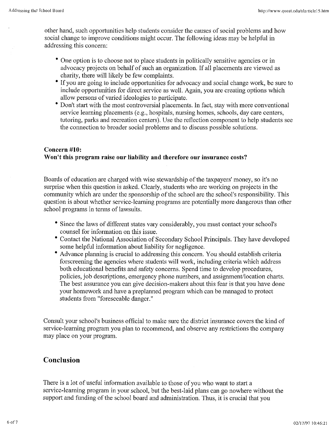other hand, such opportunities help students consider the causes of social problems and how social change to improve conditions might occur. The following ideas may be helpful in addressing this concern:

- One option is to choose not to place students in politically sensitive agencies or in advocacy projects on behalf of such an organization. If all placements are viewed as charity, there will likely be few complaints.
- If you are going to include opportunities for advocacy and social change work, be sure to include opportunities for direct service as well. Again, you are creating options which allow persons of varied ideologies to participate.
- Don't start with the most controversial placements. In fact, stay with more conventional service learning placements (e.g., hospitals, nursing homes, schools, day care centers, tutoring, parks and recreation centers). Use the reflection component to help students see the connection to broader social problems and to discuss possible solutions.

#### Concern #10: Won't this program raise our liability and therefore our insurance costs?

Boards of education are charged with wise stewardship of the taxpayers' money, so it's no surprise when this question is asked. Clearly, students who are working on projects in the community which are under the sponsorship of the school are the school's responsibility. This question is about whether service-learning programs are potentially more dangerous than other school programs in terms of lawsuits.

- Since the laws of different states vary considerably, you must contact your school's counsel for information on this issue.
- Contact the National Association of Secondary School Principals. They have developed some helpful information about liability for negligence.
- Advance planning is crucial to addressing this concern. You should establish criteria forscreening the agencies where students will work, including criteria which address both educational benefits and safety concerns. Spend time to develop procedures, policies, job descriptions, emergency phone numbers, and assignment/location charts. The best assurance you can give decision-makers about this fear is that you have done your homework and have a preplanned program which can be managed to protect students from "foreseeable danger."

Consult your school's business official to make sure the district insurance covers the kind of service-learning program you plan to recommend, and observe any restrictions the company may place on your program.

#### Conclusion

There is a lot of useful information available to those of you who want to start a service-learning program in your school, but the best-laid plans can go nowhere without the support and funding of the school board and administration. Thus, it is crucial that you